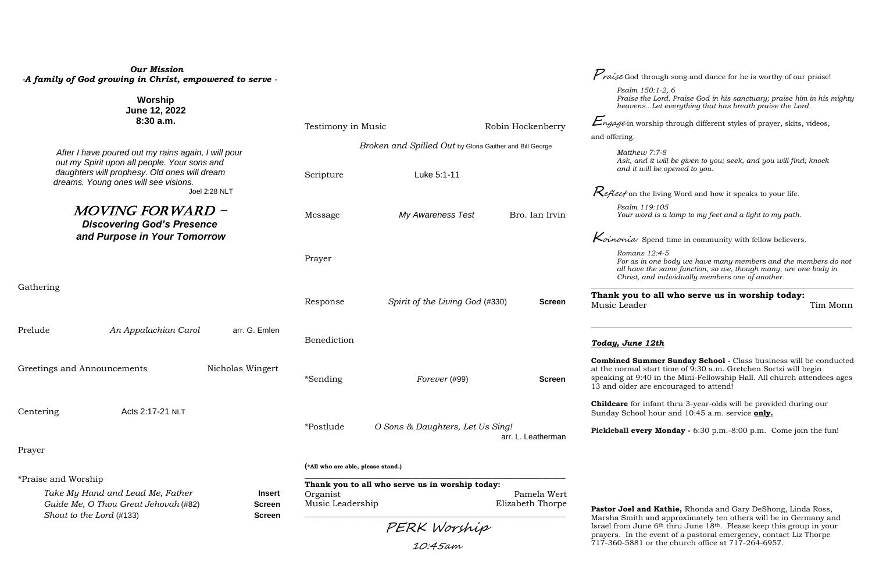# **Thank you to all who serve us in worship today:** Tim Monn

| <b>Our Mission</b><br>-A family of God growing in Christ, empowered to serve -                                                                                                              |                                                                                                |                                  |                    | $\mu$ raise God through song and dance for he is worthy of our praise!<br>Psalm 150:1-2, 6                                                                                                                                                                                                  |
|---------------------------------------------------------------------------------------------------------------------------------------------------------------------------------------------|------------------------------------------------------------------------------------------------|----------------------------------|--------------------|---------------------------------------------------------------------------------------------------------------------------------------------------------------------------------------------------------------------------------------------------------------------------------------------|
| Worship<br>June 12, 2022<br>8:30a.m.                                                                                                                                                        | Testimony in Music                                                                             |                                  | Robin Hockenberry  | Praise the Lord. Praise God in his sanctuary; praise him in his mighty<br>heavensLet everything that has breath praise the Lord.<br><i>Engage</i> in worship through different styles of prayer, skits, videos,                                                                             |
|                                                                                                                                                                                             | Broken and Spilled Out by Gloria Gaither and Bill George                                       |                                  |                    | and offering.                                                                                                                                                                                                                                                                               |
| After I have poured out my rains again, I will pour<br>out my Spirit upon all people. Your sons and<br>daughters will prophesy. Old ones will dream<br>dreams. Young ones will see visions. | Luke 5:1-11<br>Scripture                                                                       |                                  |                    | Matthew 7:7-8<br>Ask, and it will be given to you; seek, and you will find; knock<br>and it will be opened to you.                                                                                                                                                                          |
| Joel 2:28 NLT                                                                                                                                                                               |                                                                                                |                                  |                    | <i>Reflect</i> on the living Word and how it speaks to your life.                                                                                                                                                                                                                           |
| <i>MOVING FORWARD -</i><br><b>Discovering God's Presence</b><br>and Purpose in Your Tomorrow                                                                                                | Message                                                                                        | <b>My Awareness Test</b>         | Bro. Ian Irvin     | Psalm 119:105<br>Your word is a lamp to my feet and a light to my path.                                                                                                                                                                                                                     |
|                                                                                                                                                                                             |                                                                                                |                                  |                    | $\kappa$ <i>inonia:</i> Spend time in community with fellow believers.                                                                                                                                                                                                                      |
|                                                                                                                                                                                             | Prayer                                                                                         |                                  |                    | Romans 12:4-5<br>For as in one body we have many members and the members do not<br>all have the same function, so we, though many, are one body in<br>Christ, and individually members one of another.                                                                                      |
| Gathering                                                                                                                                                                                   | Response                                                                                       | Spirit of the Living God (#330)  | <b>Screen</b>      | Thank you to all who serve us in worship today:<br>Music Leader<br>Tim Monn                                                                                                                                                                                                                 |
| Prelude<br>An Appalachian Carol<br>arr. G. Emlen                                                                                                                                            | Benediction                                                                                    |                                  |                    | Today, June 12th                                                                                                                                                                                                                                                                            |
| Nicholas Wingert<br>Greetings and Announcements                                                                                                                                             | *Sending                                                                                       | Forever (#99)                    | <b>Screen</b>      | Combined Summer Sunday School - Class business will be conducted<br>at the normal start time of 9:30 a.m. Gretchen Sortzi will begin<br>speaking at 9:40 in the Mini-Fellowship Hall. All church attendees ages<br>13 and older are encouraged to attend!                                   |
| Acts 2:17-21 NLT<br>Centering                                                                                                                                                               |                                                                                                |                                  |                    | <b>Childcare</b> for infant thru 3-year-olds will be provided during our<br>Sunday School hour and 10:45 a.m. service only.                                                                                                                                                                 |
|                                                                                                                                                                                             | *Postlude                                                                                      | O Sons & Daughters, Let Us Sing! | arr. L. Leatherman | Pickleball every Monday - 6:30 p.m. -8:00 p.m. Come join the fun!                                                                                                                                                                                                                           |
| Prayer                                                                                                                                                                                      |                                                                                                |                                  |                    |                                                                                                                                                                                                                                                                                             |
|                                                                                                                                                                                             | (*All who are able, please stand.)                                                             |                                  |                    |                                                                                                                                                                                                                                                                                             |
| *Praise and Worship<br>Take My Hand and Lead Me, Father<br>Insert<br>Guide Me, O Thou Great Jehovah (#82)<br><b>Screen</b><br>Shout to the Lord (#133)<br><b>Screen</b>                     | Thank you to all who serve us in worship today:<br>Pamela Wert<br>Organist<br>Music Leadership |                                  | Elizabeth Thorpe   | Pastor Joel and Kathie, Rhonda and Gary DeShong, Linda Ross,                                                                                                                                                                                                                                |
|                                                                                                                                                                                             | PERK Worship<br>10:45am                                                                        |                                  |                    | Marsha Smith and approximately ten others will be in Germany and<br>Israel from June 6 <sup>th</sup> thru June 18 <sup>th</sup> . Please keep this group in your<br>prayers. In the event of a pastoral emergency, contact Liz Thorpe<br>717-360-5881 or the church office at 717-264-6957. |

# *Today, June 12th*